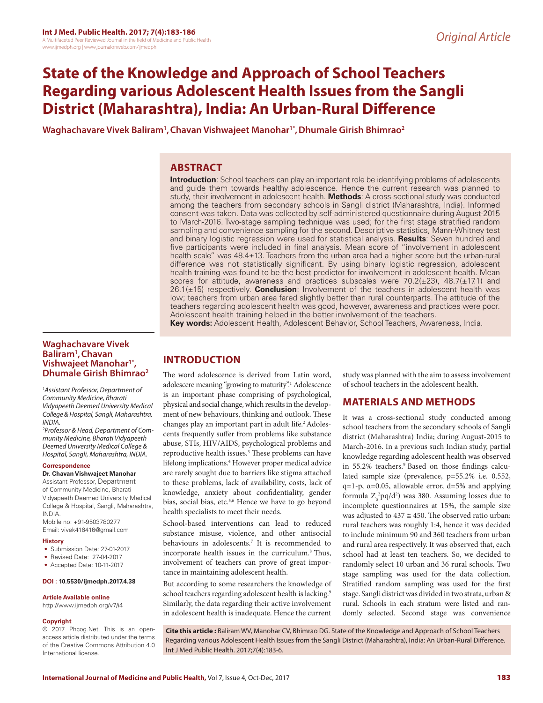# **State of the Knowledge and Approach of School Teachers Regarding various Adolescent Health Issues from the Sangli District (Maharashtra), India: An Urban-Rural Difference**

**Waghachavare Vivek Baliram1 ,Chavan Vishwajeet Manohar1\*,Dhumale Girish Bhimrao2**

# **ABSTRACT**

**Introduction**: School teachers can play an important role be identifying problems of adolescents and guide them towards healthy adolescence. Hence the current research was planned to study, their involvement in adolescent health. **Methods**: A cross-sectional study was conducted among the teachers from secondary schools in Sangli district (Maharashtra, India). Informed consent was taken. Data was collected by self-administered questionnaire during August-2015 to March-2016. Two-stage sampling technique was used; for the first stage stratified random sampling and convenience sampling for the second. Descriptive statistics, Mann-Whitney test and binary logistic regression were used for statistical analysis. **Results**: Seven hundred and five participants were included in final analysis. Mean score of "involvement in adolescent health scale" was 48.4±13. Teachers from the urban area had a higher score but the urban-rural difference was not statistically significant. By using binary logistic regression, adolescent health training was found to be the best predictor for involvement in adolescent health. Mean scores for attitude, awareness and practices subscales were  $70.2(\pm 23)$ ,  $48.7(\pm 17.1)$  and 26.1(±15) respectively. **Conclusion**: Involvement of the teachers in adolescent health was low; teachers from urban area fared slightly better than rural counterparts. The attitude of the teachers regarding adolescent health was good, however, awareness and practices were poor. Adolescent health training helped in the better involvement of the teachers.

### **Key words:** Adolescent Health, Adolescent Behavior, School Teachers, Awareness, India.

# **Waghachavare Vivek Baliram1 ,Chavan Vishwajeet Manohar1\*, Dhumale Girish Bhimrao2**

*1 Assistant Professor, Department of Community Medicine, Bharati Vidyapeeth Deemed University Medical College & Hospital, Sangli, Maharashtra, INDIA.*

*2 Professor & Head, Department of Community Medicine, Bharati Vidyapeeth Deemed University Medical College & Hospital, Sangli, Maharashtra, INDIA.*

### **Correspondence**

### **Dr. Chavan Vishwajeet Manohar**

Assistant Professor, Department of Community Medicine, Bharati Vidyapeeth Deemed University Medical College & Hospital, Sangli, Maharashtra, INDIA.

Mobile no: +91-9503780277 Email: vivek416416@gmail.com

### **History**

- Submission Date: 27-01-2017
- Revised Date: 27-04-2017
- Accepted Date: 10-11-2017

### **DOI : 10.5530/ijmedph.2017.4.38**

### **Article Available online**

http://www.ijmedph.org/v7/i4

### **Copyright**

© 2017 Phcog.Net. This is an openaccess article distributed under the terms of the Creative Commons Attribution 4.0 International license.

# **INTRODUCTION**

The word adolescence is derived from Latin word, adolescere meaning "growing to maturity".<sup>1</sup> Adolescence is an important phase comprising of psychological, physical and social change, which results in the development of new behaviours, thinking and outlook. These changes play an important part in adult life.<sup>2</sup> Adolescents frequently suffer from problems like substance abuse, STIs, HIV/AIDS, psychological problems and reproductive health issues.<sup>3</sup> These problems can have lifelong implications.<sup>4</sup> However proper medical advice are rarely sought due to barriers like stigma attached to these problems, lack of availability, costs, lack of knowledge, anxiety about confidentiality, gender bias, social bias, etc.<sup>5,6</sup> Hence we have to go beyond health specialists to meet their needs.

School-based interventions can lead to reduced substance misuse, violence, and other antisocial behaviours in adolescents.7 It is recommended to incorporate health issues in the curriculum.8 Thus, involvement of teachers can prove of great importance in maintaining adolescent health.

But according to some researchers the knowledge of school teachers regarding adolescent health is lacking.<sup>9</sup> Similarly, the data regarding their active involvement in adolescent health is inadequate. Hence the current

study was planned with the aim to assess involvement of school teachers in the adolescent health.

# **MATERIALS AND METHODS**

It was a cross-sectional study conducted among school teachers from the secondary schools of Sangli district (Maharashtra) India; during August-2015 to March-2016. In a previous such Indian study, partial knowledge regarding adolescent health was observed in 55.2% teachers.<sup>9</sup> Based on those findings calculated sample size (prevalence, p=55.2% i.e. 0.552, q=1-p,  $\alpha$ =0.05, allowable error, d=5% and applying formula  $Z_{\alpha}^2$ pq/d<sup>2</sup>) was 380. Assuming losses due to incomplete questionnaires at 15%, the sample size was adjusted to  $437 \approx 450$ . The observed ratio urban: rural teachers was roughly 1:4, hence it was decided to include minimum 90 and 360 teachers from urban and rural area respectively. It was observed that, each school had at least ten teachers. So, we decided to randomly select 10 urban and 36 rural schools. Two stage sampling was used for the data collection. Stratified random sampling was used for the first stage. Sangli district was divided in two strata, urban & rural. Schools in each stratum were listed and randomly selected. Second stage was convenience

**Cite this article :** Baliram WV, Manohar CV, Bhimrao DG. State of the Knowledge and Approach of School Teachers Regarding various Adolescent Health Issues from the Sangli District (Maharashtra), India: An Urban-Rural Difference. Int J Med Public Health. 2017;7(4):183-6.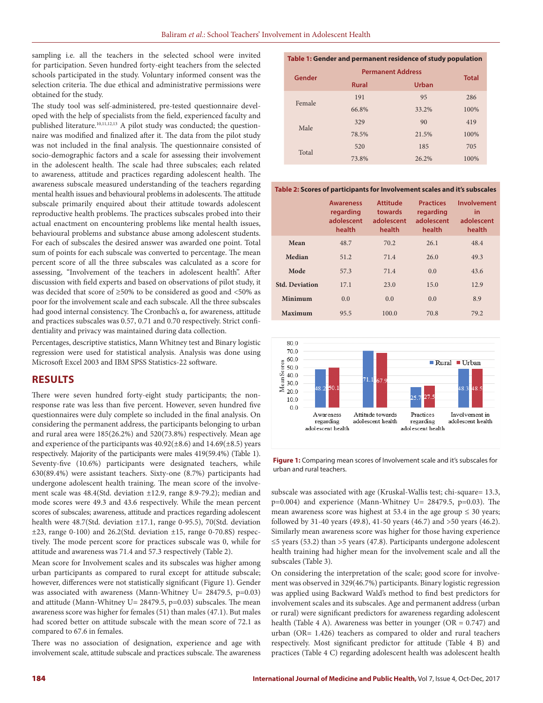sampling i.e. all the teachers in the selected school were invited for participation. Seven hundred forty-eight teachers from the selected schools participated in the study. Voluntary informed consent was the selection criteria. The due ethical and administrative permissions were obtained for the study.

The study tool was self-administered, pre-tested questionnaire developed with the help of specialists from the field, experienced faculty and published literature.<sup>10,11,12,13</sup> A pilot study was conducted; the questionnaire was modified and finalized after it. The data from the pilot study was not included in the final analysis. The questionnaire consisted of socio-demographic factors and a scale for assessing their involvement in the adolescent health. The scale had three subscales; each related to awareness, attitude and practices regarding adolescent health. The awareness subscale measured understanding of the teachers regarding mental health issues and behavioural problems in adolescents. The attitude subscale primarily enquired about their attitude towards adolescent reproductive health problems. The practices subscales probed into their actual enactment on encountering problems like mental health issues, behavioural problems and substance abuse among adolescent students. For each of subscales the desired answer was awarded one point. Total sum of points for each subscale was converted to percentage. The mean percent score of all the three subscales was calculated as a score for assessing, "Involvement of the teachers in adolescent health". After discussion with field experts and based on observations of pilot study, it was decided that score of ≥50% to be considered as good and <50% as poor for the involvement scale and each subscale. All the three subscales had good internal consistency. The Cronbach's α, for awareness, attitude and practices subscales was 0.57, 0.71 and 0.70 respectively. Strict confidentiality and privacy was maintained during data collection.

Percentages, descriptive statistics, Mann Whitney test and Binary logistic regression were used for statistical analysis. Analysis was done using Microsoft Excel 2003 and IBM SPSS Statistics-22 software.

# **RESULTS**

There were seven hundred forty-eight study participants; the nonresponse rate was less than five percent. However, seven hundred five questionnaires were duly complete so included in the final analysis. On considering the permanent address, the participants belonging to urban and rural area were 185(26.2%) and 520(73.8%) respectively. Mean age and experience of the participants was  $40.92(\pm 8.6)$  and  $14.69(\pm 8.5)$  years respectively. Majority of the participants were males 419(59.4%) (Table 1). Seventy-five (10.6%) participants were designated teachers, while 630(89.4%) were assistant teachers. Sixty-one (8.7%) participants had undergone adolescent health training. The mean score of the involvement scale was 48.4(Std. deviation ±12.9, range 8.9-79.2); median and mode scores were 49.3 and 43.6 respectively. While the mean percent scores of subscales; awareness, attitude and practices regarding adolescent health were 48.7(Std. deviation ±17.1, range 0-95.5), 70(Std. deviation  $\pm 23$ , range 0-100) and 26.2(Std. deviation  $\pm 15$ , range 0-70.8S) respectively. The mode percent score for practices subscale was 0, while for attitude and awareness was 71.4 and 57.3 respectively (Table 2).

Mean score for Involvement scales and its subscales was higher among urban participants as compared to rural except for attitude subscale; however, differences were not statistically significant (Figure 1). Gender was associated with awareness (Mann-Whitney U= 28479.5, p=0.03) and attitude (Mann-Whitney U= 28479.5, p=0.03) subscales. The mean awareness score was higher for females (51) than males (47.1). But males had scored better on attitude subscale with the mean score of 72.1 as compared to 67.6 in females.

There was no association of designation, experience and age with involvement scale, attitude subscale and practices subscale. The awareness

| Table 1: Gender and permanent residence of study population |                          |              |      |  |  |  |
|-------------------------------------------------------------|--------------------------|--------------|------|--|--|--|
| Gender                                                      | <b>Permanent Address</b> | <b>Total</b> |      |  |  |  |
|                                                             | <b>Rural</b>             |              |      |  |  |  |
| Female                                                      | 191                      | 95           | 286  |  |  |  |
|                                                             | 66.8%                    | 33.2%        | 100% |  |  |  |
| Male                                                        | 329                      | 90           | 419  |  |  |  |
|                                                             | 78.5%                    | 21.5%        | 100% |  |  |  |
| Total                                                       | 520                      | 185          | 705  |  |  |  |
|                                                             | 73.8%                    | 26.2%        | 100% |  |  |  |

**Table 2: Scores of participants for Involvement scales and it's subscales**

|                       | <b>Awareness</b><br>regarding<br>adolescent<br>health | <b>Attitude</b><br>towards<br>adolescent<br>health | <b>Practices</b><br>regarding<br>adolescent<br>health | Involvement<br>in.<br>adolescent<br>health |
|-----------------------|-------------------------------------------------------|----------------------------------------------------|-------------------------------------------------------|--------------------------------------------|
| Mean                  | 48.7                                                  | 70.2                                               | 26.1                                                  | 48.4                                       |
| Median                | 51.2                                                  | 71.4                                               | 26.0                                                  | 49.3                                       |
| Mode                  | 57.3                                                  | 71.4                                               | 0.0                                                   | 43.6                                       |
| <b>Std. Deviation</b> | 17.1                                                  | 23.0                                               | 15.0                                                  | 12.9                                       |
| Minimum               | 0.0                                                   | 0.0                                                | 0.0                                                   | 8.9                                        |
| Maximum               | 95.5                                                  | 100.0                                              | 70.8                                                  | 79.2                                       |



**Figure 1:** Comparing mean scores of Involvement scale and it's subscales for urban and rural teachers.

subscale was associated with age (Kruskal-Wallis test; chi-square= 13.3, p=0.004) and experience (Mann-Whitney U= 28479.5, p=0.03). The mean awareness score was highest at 53.4 in the age group  $\leq$  30 years; followed by 31-40 years (49.8), 41-50 years (46.7) and >50 years (46.2). Similarly mean awareness score was higher for those having experience ≤5 years (53.2) than >5 years (47.8). Participants undergone adolescent health training had higher mean for the involvement scale and all the subscales (Table 3).

On considering the interpretation of the scale; good score for involvement was observed in 329(46.7%) participants. Binary logistic regression was applied using Backward Wald's method to find best predictors for involvement scales and its subscales. Age and permanent address (urban or rural) were significant predictors for awareness regarding adolescent health (Table 4 A). Awareness was better in younger ( $OR = 0.747$ ) and urban (OR= 1.426) teachers as compared to older and rural teachers respectively. Most significant predictor for attitude (Table 4 B) and practices (Table 4 C) regarding adolescent health was adolescent health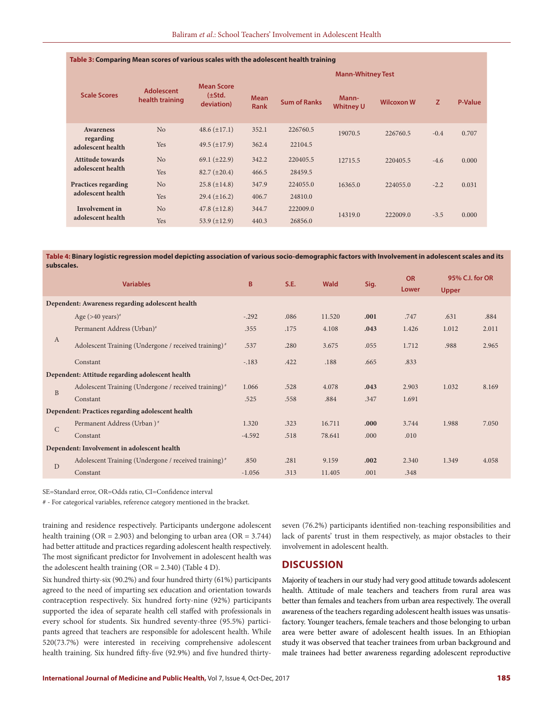| Table 3: Comparing Mean scores of various scales with the adolescent health training |                                      |                                                |                            |                     |                           |                   |        |                |  |
|--------------------------------------------------------------------------------------|--------------------------------------|------------------------------------------------|----------------------------|---------------------|---------------------------|-------------------|--------|----------------|--|
|                                                                                      |                                      |                                                | <b>Mann-Whitney Test</b>   |                     |                           |                   |        |                |  |
| <b>Scale Scores</b>                                                                  | <b>Adolescent</b><br>health training | <b>Mean Score</b><br>$(\pm Std.$<br>deviation) | <b>Mean</b><br><b>Rank</b> | <b>Sum of Ranks</b> | Mann-<br><b>Whitney U</b> | <b>Wilcoxon W</b> | Z.     | <b>P-Value</b> |  |
| <b>Awareness</b>                                                                     | N <sub>o</sub>                       | 48.6 $(\pm 17.1)$                              | 352.1                      | 226760.5            | 19070.5                   | 226760.5          | $-0.4$ | 0.707          |  |
| regarding<br>adolescent health                                                       | Yes                                  | $49.5 (\pm 17.9)$                              | 362.4                      | 22104.5             |                           |                   |        |                |  |
| <b>Attitude towards</b>                                                              | N <sub>o</sub>                       | 69.1 $(\pm 22.9)$                              | 342.2                      | 220405.5            | 12715.5                   | 220405.5          | $-4.6$ | 0.000          |  |
| adolescent health                                                                    | <b>Yes</b>                           | $82.7 (\pm 20.4)$                              | 466.5                      | 28459.5             |                           |                   |        |                |  |
| <b>Practices regarding</b>                                                           | N <sub>o</sub>                       | $25.8 (\pm 14.8)$                              | 347.9                      | 224055.0            | 16365.0                   | 224055.0          | $-2.2$ | 0.031          |  |
| adolescent health                                                                    | Yes                                  | $29.4 (\pm 16.2)$                              | 406.7                      | 24810.0             |                           |                   |        |                |  |
| Involvement in                                                                       | N <sub>o</sub>                       | $47.8 (\pm 12.8)$                              | 344.7                      | 222009.0            | 14319.0<br>222009.0       | $-3.5$            | 0.000  |                |  |
| adolescent health                                                                    | Yes                                  | 53.9 $(\pm 12.9)$                              | 440.3                      | 26856.0             |                           |                   |        |                |  |

**Table 4: Binary logistic regression model depicting association of various socio-demographic factors with Involvement in adolescent scales and its subscales.**

| <b>Variables</b>                                 |                                                                  | B<br><b>S.E.</b> |      |             | <b>OR</b> |       | 95% C.I. for OR |       |
|--------------------------------------------------|------------------------------------------------------------------|------------------|------|-------------|-----------|-------|-----------------|-------|
|                                                  |                                                                  |                  |      | <b>Wald</b> | Sig.      | Lower | <b>Upper</b>    |       |
| Dependent: Awareness regarding adolescent health |                                                                  |                  |      |             |           |       |                 |       |
| $\mathbf{A}$                                     | Age $(>40 \text{ years})^*$                                      | $-.292$          | .086 | 11.520      | .001      | .747  | .631            | .884  |
|                                                  | Permanent Address (Urban) <sup>#</sup>                           | .355             | .175 | 4.108       | .043      | 1.426 | 1.012           | 2.011 |
|                                                  | Adolescent Training (Undergone / received training) <sup>#</sup> | .537             | .280 | 3.675       | .055      | 1.712 | .988            | 2.965 |
|                                                  | Constant                                                         | $-.183$          | .422 | .188        | .665      | .833  |                 |       |
| Dependent: Attitude regarding adolescent health  |                                                                  |                  |      |             |           |       |                 |       |
| B                                                | Adolescent Training (Undergone / received training) <sup>#</sup> | 1.066            | .528 | 4.078       | .043      | 2.903 | 1.032           | 8.169 |
|                                                  | Constant                                                         | .525             | .558 | .884        | .347      | 1.691 |                 |       |
| Dependent: Practices regarding adolescent health |                                                                  |                  |      |             |           |       |                 |       |
| $\mathsf{C}$                                     | Permanent Address (Urban) <sup>#</sup>                           | 1.320            | .323 | 16.711      | .000      | 3.744 | 1.988           | 7.050 |
|                                                  | Constant                                                         | $-4.592$         | .518 | 78.641      | .000      | .010  |                 |       |
| Dependent: Involvement in adolescent health      |                                                                  |                  |      |             |           |       |                 |       |
| D                                                | Adolescent Training (Undergone / received training) <sup>#</sup> | .850             | .281 | 9.159       | .002      | 2.340 | 1.349           | 4.058 |
|                                                  | Constant                                                         | $-1.056$         | .313 | 11.405      | .001      | .348  |                 |       |

SE=Standard error, OR=Odds ratio, CI=Confidence interval

# - For categorical variables, reference category mentioned in the bracket.

training and residence respectively. Participants undergone adolescent health training ( $OR = 2.903$ ) and belonging to urban area ( $OR = 3.744$ ) had better attitude and practices regarding adolescent health respectively. The most significant predictor for Involvement in adolescent health was the adolescent health training  $(OR = 2.340)$  (Table 4 D).

Six hundred thirty-six (90.2%) and four hundred thirty (61%) participants agreed to the need of imparting sex education and orientation towards contraception respectively. Six hundred forty-nine (92%) participants supported the idea of separate health cell staffed with professionals in every school for students. Six hundred seventy-three (95.5%) participants agreed that teachers are responsible for adolescent health. While 520(73.7%) were interested in receiving comprehensive adolescent health training. Six hundred fifty-five (92.9%) and five hundred thirtyseven (76.2%) participants identified non-teaching responsibilities and lack of parents' trust in them respectively, as major obstacles to their involvement in adolescent health.

### **DISCUSSION**

Majority of teachers in our study had very good attitude towards adolescent health. Attitude of male teachers and teachers from rural area was better than females and teachers from urban area respectively. The overall awareness of the teachers regarding adolescent health issues was unsatisfactory. Younger teachers, female teachers and those belonging to urban area were better aware of adolescent health issues. In an Ethiopian study it was observed that teacher trainees from urban background and male trainees had better awareness regarding adolescent reproductive